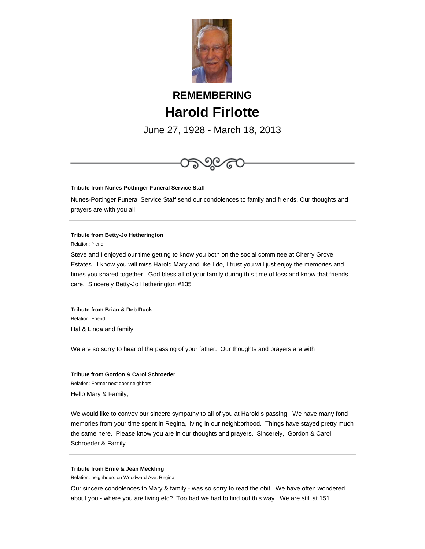

# **REMEMBERING Harold Firlotte**

June 27, 1928 - March 18, 2013



#### **Tribute from Nunes-Pottinger Funeral Service Staff**

Nunes-Pottinger Funeral Service Staff send our condolences to family and friends. Our thoughts and prayers are with you all.

#### **Tribute from Betty-Jo Hetherington**

Relation: friend

Steve and I enjoyed our time getting to know you both on the social committee at Cherry Grove Estates. I know you will miss Harold Mary and like I do, I trust you will just enjoy the memories and times you shared together. God bless all of your family during this time of loss and know that friends care. Sincerely Betty-Jo Hetherington #135

**Tribute from Brian & Deb Duck** Relation: Friend Hal & Linda and family,

We are so sorry to hear of the passing of your father. Our thoughts and prayers are with

## **Tribute from Gordon & Carol Schroeder**

Relation: Former next door neighbors Hello Mary & Family,

We would like to convey our sincere sympathy to all of you at Harold's passing. We have many fond memories from your time spent in Regina, living in our neighborhood. Things have stayed pretty much the same here. Please know you are in our thoughts and prayers. Sincerely, Gordon & Carol Schroeder & Family.

#### **Tribute from Ernie & Jean Meckling**

Relation: neighbours on Woodward Ave, Regina

Our sincere condolences to Mary & family - was so sorry to read the obit. We have often wondered about you - where you are living etc? Too bad we had to find out this way. We are still at 151